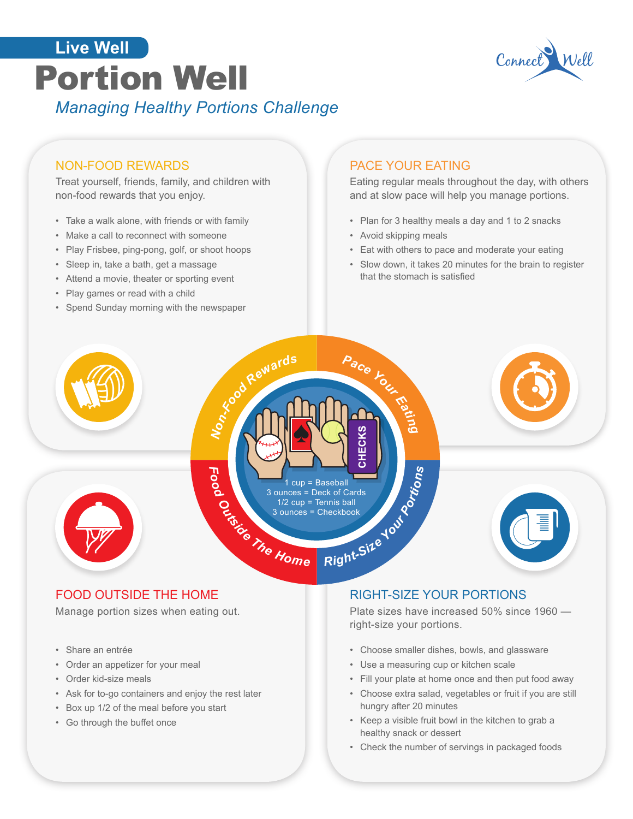



## NON-FOOD REWARDS

Treat yourself, friends, family, and children with non-food rewards that you enjoy.

- Take a walk alone, with friends or with family
- Make a call to reconnect with someone
- Play Frisbee, ping-pong, golf, or shoot hoops
- Sleep in, take a bath, get a massage
- Attend a movie, theater or sporting event
- Play games or read with a child
- Spend Sunday morning with the newspaper

## PACE YOUR EATING

Eating regular meals throughout the day, with others and at slow pace will help you manage portions.

- Plan for 3 healthy meals a day and 1 to 2 snacks
- Avoid skipping meals
- Eat with others to pace and moderate your eating
- Slow down, it takes 20 minutes for the brain to register that the stomach is satisfied



Manage portion sizes when eating out.

- Share an entrée
- Order an appetizer for your meal
- Order kid-size meals
- Ask for to-go containers and enjoy the rest later
- Box up 1/2 of the meal before you start
- Go through the buffet once

## FOOD OUTSIDE THE HOME THE RIGHT-SIZE YOUR PORTIONS

Plate sizes have increased 50% since 1960 right-size your portions.

- Choose smaller dishes, bowls, and glassware
- Use a measuring cup or kitchen scale
- Fill your plate at home once and then put food away
- Choose extra salad, vegetables or fruit if you are still hungry after 20 minutes
- Keep a visible fruit bowl in the kitchen to grab a healthy snack or dessert
- Check the number of servings in packaged foods